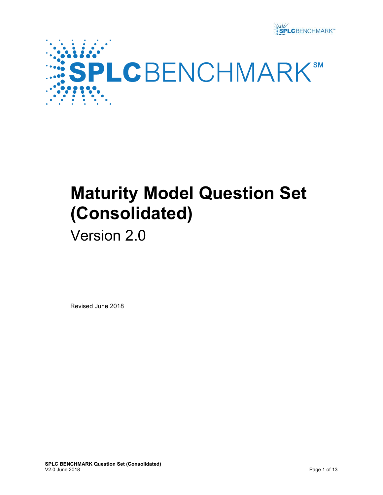



# **Maturity Model Question Set (Consolidated)**

## Version 2.0

Revised June 2018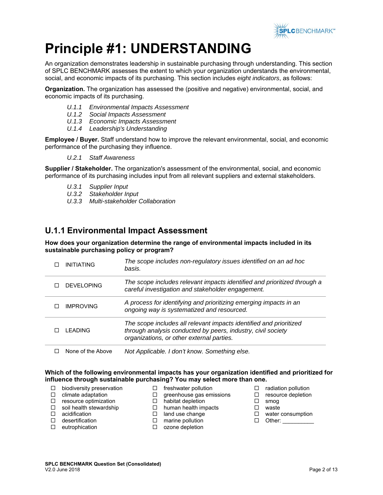

## **Principle #1: UNDERSTANDING**

An organization demonstrates leadership in sustainable purchasing through understanding. This section of SPLC BENCHMARK assesses the extent to which your organization understands the environmental, social, and economic impacts of its purchasing. This section includes *eight indicators*, as follows:

**Organization.** The organization has assessed the (positive and negative) environmental, social, and economic impacts of its purchasing.

- *U.1.1 Environmental Impacts Assessment*
- *U.1.2 Social Impacts Assessment*
- *U.1.3 Economic Impacts Assessment*
- *U.1.4 Leadership's Understanding*

**Employee / Buyer.** Staff understand how to improve the relevant environmental, social, and economic performance of the purchasing they influence.

*U.2.1 Staff Awareness*

**Supplier / Stakeholder.** The organization's assessment of the environmental, social, and economic performance of its purchasing includes input from all relevant suppliers and external stakeholders.

- *U.3.1 Supplier Input*
- *U.3.2 Stakeholder Input*
- *U.3.3 Multi-stakeholder Collaboration*

#### **U.1.1 Environmental Impact Assessment**

**How does your organization determine the range of environmental impacts included in its sustainable purchasing policy or program?** 

| I FADING          | The scope includes all relevant impacts identified and prioritized<br>through analysis conducted by peers, industry, civil society<br>organizations, or other external parties. |
|-------------------|---------------------------------------------------------------------------------------------------------------------------------------------------------------------------------|
| <b>IMPROVING</b>  | A process for identifying and prioritizing emerging impacts in an<br>ongoing way is systematized and resourced.                                                                 |
| <b>DEVELOPING</b> | The scope includes relevant impacts identified and prioritized through a<br>careful investigation and stakeholder engagement.                                                   |
| <b>INITIATING</b> | The scope includes non-regulatory issues identified on an ad hoc<br>basis.                                                                                                      |

None of the Above *Not Applicable. I don't know. Something else.* 

#### **Which of the following environmental impacts has your organization identified and prioritized for influence through sustainable purchasing? You may select more than one.**

 $\Box$  freshwater pollution  $\Box$  greenhouse gas emissions

- $\Box$  biodiversity preservation
- $\Box$  climate adaptation

 $\Box$  desertification  $\Box$  eutrophication

- $\Box$  resource optimization
- $\Box$  soil health stewardship □ acidification
- $\Box$  land use change
	- □ marine pollution
	- □ ozone depletion

 $\Box$  habitat depletion □ human health impacts

- $\Box$  radiation pollution
- $\square$  resource depletion
- smog
- □ waste
- □ water consumption  $\Box$  Other: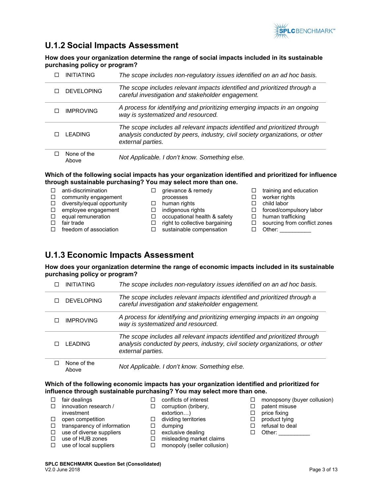

## **U.1.2 Social Impacts Assessment**

**How does your organization determine the range of social impacts included in its sustainable purchasing policy or program?** 

| INITIATING           | The scope includes non-regulatory issues identified on an ad hoc basis.                                                                                                         |
|----------------------|---------------------------------------------------------------------------------------------------------------------------------------------------------------------------------|
| DEVELOPING           | The scope includes relevant impacts identified and prioritized through a<br>careful investigation and stakeholder engagement.                                                   |
| <b>IMPROVING</b>     | A process for identifying and prioritizing emerging impacts in an ongoing<br>way is systematized and resourced.                                                                 |
| I FADING             | The scope includes all relevant impacts identified and prioritized through<br>analysis conducted by peers, industry, civil society organizations, or other<br>external parties. |
| None of the<br>Above | Not Applicable. I don't know. Something else.                                                                                                                                   |

#### **Which of the following social impacts has your organization identified and prioritized for influence through sustainable purchasing? You may select more than one.**

|        | anti-discrimination         |   | grievance & remedy             | training and education       |
|--------|-----------------------------|---|--------------------------------|------------------------------|
| П      | community engagement        |   | processes                      | worker rights                |
| $\Box$ | diversity/equal opportunity |   | human rights                   | child labor                  |
| п      | employee engagement         |   | indigenous rights              | forced/compulsory labor      |
| п      | equal remuneration          |   | occupational health & safety   | human trafficking            |
|        | fair trade                  | □ | right to collective bargaining | sourcing from conflict zones |
| П      | freedom of association      |   | sustainable compensation       | Other:                       |

## **U.1.3 Economic Impacts Assessment**

**How does your organization determine the range of economic impacts included in its sustainable purchasing policy or program?** 

| <b>INITIATING</b> | The scope includes non-regulatory issues identified on an ad hoc basis.                                                                                                         |
|-------------------|---------------------------------------------------------------------------------------------------------------------------------------------------------------------------------|
| <b>DEVELOPING</b> | The scope includes relevant impacts identified and prioritized through a<br>careful investigation and stakeholder engagement.                                                   |
| <b>IMPROVING</b>  | A process for identifying and prioritizing emerging impacts in an ongoing<br>way is systematized and resourced.                                                                 |
| I FADING          | The scope includes all relevant impacts identified and prioritized through<br>analysis conducted by peers, industry, civil society organizations, or other<br>external parties. |
| None of the       | Not Applicable, I don't know. Something else                                                                                                                                    |

Above *Not Applicable. I don't know. Something else.* 

#### **Which of the following economic impacts has your organization identified and prioritized for influence through sustainable purchasing? You may select more than one.**

- $\Box$  fair dealings
- $\Box$  innovation research / investment
- $\Box$  conflicts of interest □ corruption (bribery,
- extortion…)
- $\Box$  open competition
- dividing territories □
- $\Box$  transparency of information
	- □ dumping<br>□ exclusive exclusive dealing  $\Box$  misleading market claims
- $\square$  use of diverse suppliers  $\square$  use of HUB zones
- $\square$  use of local suppliers
	- □ monopoly (seller collusion)
- $\Box$  monopsony (buyer collusion)
- □ patent misuse
- $\Box$  price fixing
- □ product tying
- $\Box$  refusal to deal
- $\Box$  Other:
- **SPLC BENCHMARK Question Set (Consolidated)** V2.0 June 2018 Page 3 of 13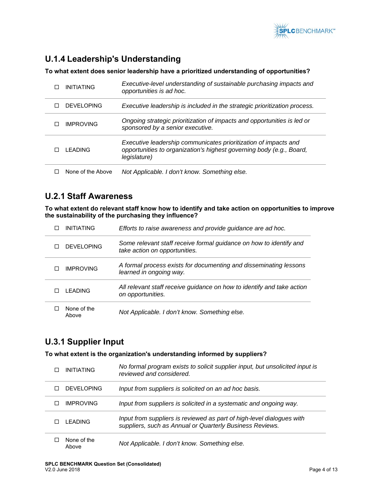

## **U.1.4 Leadership's Understanding**

**To what extent does senior leadership have a prioritized understanding of opportunities?** 

| <b>INITIATING</b><br>п | Executive-level understanding of sustainable purchasing impacts and<br>opportunities is ad hoc.                                                         |
|------------------------|---------------------------------------------------------------------------------------------------------------------------------------------------------|
| DEVELOPING             | Executive leadership is included in the strategic prioritization process.                                                                               |
| <b>IMPROVING</b>       | Ongoing strategic prioritization of impacts and opportunities is led or<br>sponsored by a senior executive.                                             |
| I FADING<br>п          | Executive leadership communicates prioritization of impacts and<br>opportunities to organization's highest governing body (e.g., Board,<br>legislature) |
| None of the Above      | Not Applicable. I don't know. Something else.                                                                                                           |

#### **U.2.1 Staff Awareness**

**To what extent do relevant staff know how to identify and take action on opportunities to improve the sustainability of the purchasing they influence?** 

| <b>INITIATING</b>    | Efforts to raise awareness and provide guidance are ad hoc.                                         |
|----------------------|-----------------------------------------------------------------------------------------------------|
| DEVELOPING           | Some relevant staff receive formal guidance on how to identify and<br>take action on opportunities. |
| <b>IMPROVING</b>     | A formal process exists for documenting and disseminating lessons<br>learned in ongoing way.        |
| I FADING             | All relevant staff receive guidance on how to identify and take action<br>on opportunities.         |
| None of the<br>Above | Not Applicable. I don't know. Something else.                                                       |

### **U.3.1 Supplier Input**

**To what extent is the organization's understanding informed by suppliers?** 

| <b>INITIATING</b>    | No formal program exists to solicit supplier input, but unsolicited input is<br>reviewed and considered.                          |
|----------------------|-----------------------------------------------------------------------------------------------------------------------------------|
| DEVELOPING           | Input from suppliers is solicited on an ad hoc basis.                                                                             |
| <b>IMPROVING</b>     | Input from suppliers is solicited in a systematic and ongoing way.                                                                |
| I FADING             | Input from suppliers is reviewed as part of high-level dialogues with<br>suppliers, such as Annual or Quarterly Business Reviews. |
| None of the<br>Above | Not Applicable. I don't know. Something else.                                                                                     |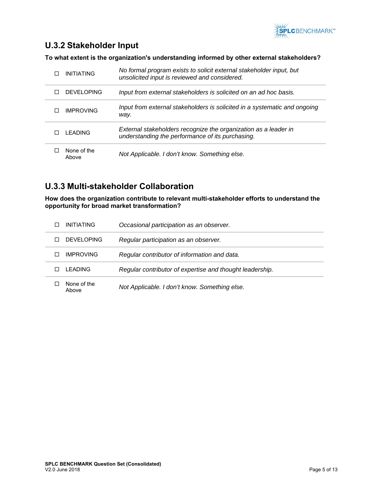

## **U.3.2 Stakeholder Input**

**To what extent is the organization's understanding informed by other external stakeholders?** 

| <b>INITIATING</b><br>ΙI | No formal program exists to solicit external stakeholder input, but<br>unsolicited input is reviewed and considered. |
|-------------------------|----------------------------------------------------------------------------------------------------------------------|
| DEVELOPING              | Input from external stakeholders is solicited on an ad hoc basis.                                                    |
| <b>IMPROVING</b>        | Input from external stakeholders is solicited in a systematic and ongoing<br>way.                                    |
| I FADING                | External stakeholders recognize the organization as a leader in<br>understanding the performance of its purchasing.  |
| None of the<br>Above    | Not Applicable. I don't know. Something else.                                                                        |

## **U.3.3 Multi-stakeholder Collaboration**

**How does the organization contribute to relevant multi-stakeholder efforts to understand the opportunity for broad market transformation?** 

| <b>INITIATING</b>    | Occasional participation as an observer.                 |
|----------------------|----------------------------------------------------------|
| DEVELOPING           | Regular participation as an observer.                    |
| <b>IMPROVING</b>     | Regular contributor of information and data.             |
| I FADING             | Regular contributor of expertise and thought leadership. |
| None of the<br>Above | Not Applicable. I don't know. Something else.            |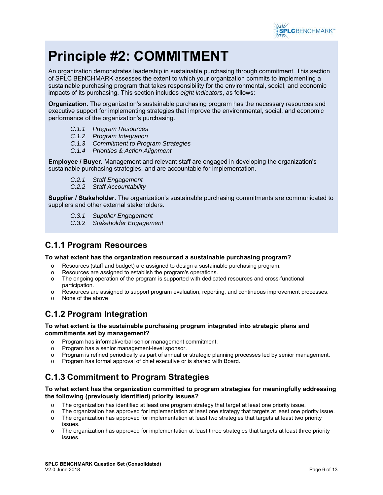

## **Principle #2: COMMITMENT**

An organization demonstrates leadership in sustainable purchasing through commitment. This section of SPLC BENCHMARK assesses the extent to which your organization commits to implementing a sustainable purchasing program that takes responsibility for the environmental, social, and economic impacts of its purchasing. This section includes *eight indicators*, as follows:

**Organization.** The organization's sustainable purchasing program has the necessary resources and executive support for implementing strategies that improve the environmental, social, and economic performance of the organization's purchasing.

- *C.1.1 Program Resources*
- *C.1.2 Program Integration*
- *C.1.3 Commitment to Program Strategies*
- *C.1.4 Priorities & Action Alignment*

**Employee / Buyer.** Management and relevant staff are engaged in developing the organization's sustainable purchasing strategies, and are accountable for implementation.

- *C.2.1 Staff Engagement*
- *C.2.2 Staff Accountability*

**Supplier / Stakeholder.** The organization's sustainable purchasing commitments are communicated to suppliers and other external stakeholders.

- *C.3.1 Supplier Engagement*
- *C.3.2 Stakeholder Engagement*

### **C.1.1 Program Resources**

#### **To what extent has the organization resourced a sustainable purchasing program?**

- o Resources (staff and budget) are assigned to design a sustainable purchasing program.
- o Resources are assigned to establish the program's operations.
- o The ongoing operation of the program is supported with dedicated resources and cross-functional participation.
- o Resources are assigned to support program evaluation, reporting, and continuous improvement processes.
- o None of the above

## **C.1.2 Program Integration**

#### **To what extent is the sustainable purchasing program integrated into strategic plans and commitments set by management?**

- o Program has informal/verbal senior management commitment.
- o Program has a senior management-level sponsor.
- o Program is refined periodically as part of annual or strategic planning processes led by senior management.
- Program has formal approval of chief executive or is shared with Board.

## **C.1.3 Commitment to Program Strategies**

#### **To what extent has the organization committed to program strategies for meaningfully addressing the following (previously identified) priority issues?**

- o The organization has identified at least one program strategy that target at least one priority issue.
- o The organization has approved for implementation at least one strategy that targets at least one priority issue.
- o The organization has approved for implementation at least two strategies that targets at least two priority issues.
- $\circ$  The organization has approved for implementation at least three strategies that targets at least three priority issues.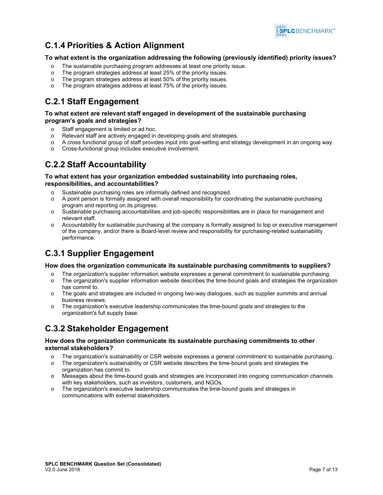

## **C.1.4 Priorities & Action Alignment**

#### **To what extent is the organization addressing the following (previously identified) priority issues?**

- o The sustainable purchasing program addresses at least one priority issue.
- o The program strategies address at least 25% of the priority issues.
- o The program strategies address at least 50% of the priority issues.
- The program strategies address at least 75% of the priority issues.

## **C.2.1 Staff Engagement**

#### **To what extent are relevant staff engaged in development of the sustainable purchasing program's goals and strategies?**

- o Staff engagement is limited or ad hoc.
- o Relevant staff are actively engaged in developing goals and strategies.
- o A cross functional group of staff provides input into goal-setting and strategy development in an ongoing way.
- o Cross-functional group includes executive involvement.

## **C.2.2 Staff Accountability**

#### **To what extent has your organization embedded sustainability into purchasing roles, responsibilities, and accountabilities?**

- o Sustainable purchasing roles are informally defined and recognized.
- o A point person is formally assigned with overall responsibility for coordinating the sustainable purchasing program and reporting on its progress.
- o Sustainable purchasing accountabilities and job-specific responsibilities are in place for management and relevant staff.
- o Accountability for sustainable purchasing at the company is formally assigned to top or executive management of the company, and/or there is Board-level review and responsibility for purchasing-related sustainability performance.

## **C.3.1 Supplier Engagement**

#### **How does the organization communicate its sustainable purchasing commitments to suppliers?**

- o The organization's supplier information website expresses a general commitment to sustainable purchasing.
- $\circ$  The organization's supplier information website describes the time-bound goals and strategies the organization has commit to.
- o The goals and strategies are included in ongoing two-way dialogues, such as supplier summits and annual business reviews.
- The organization's executive leadership communicates the time-bound goals and strategies to the organization's full supply base.

### **C.3.2 Stakeholder Engagement**

#### **How does the organization communicate its sustainable purchasing commitments to other external stakeholders?**

- o The organization's sustainability or CSR website expresses a general commitment to sustainable purchasing.
- o The organization's sustainability or CSR website describes the time-bound goals and strategies the organization has commit to.
- o Messages about the time-bound goals and strategies are incorporated into ongoing communication channels with key stakeholders, such as investors, customers, and NGOs.
- o The organization's executive leadership communicates the time-bound goals and strategies in communications with external stakeholders.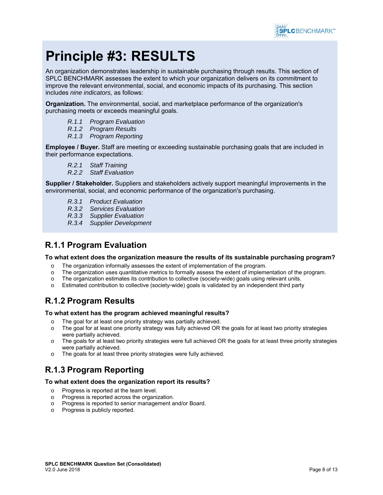

## **Principle #3: RESULTS**

An organization demonstrates leadership in sustainable purchasing through results. This section of SPLC BENCHMARK assesses the extent to which your organization delivers on its commitment to improve the relevant environmental, social, and economic impacts of its purchasing. This section includes *nine indicators,* as follows:

**Organization.** The environmental, social, and marketplace performance of the organization's purchasing meets or exceeds meaningful goals.

- *R.1.1 Program Evaluation*
- *R.1.2 Program Results*
- *R.1.3 Program Reporting*

**Employee / Buyer.** Staff are meeting or exceeding sustainable purchasing goals that are included in their performance expectations.

- *R.2.1 Staff Training*
- *R.2.2 Staff Evaluation*

**Supplier / Stakeholder.** Suppliers and stakeholders actively support meaningful improvements in the environmental, social, and economic performance of the organization's purchasing.

- *R.3.1 Product Evaluation*
- *R.3.2 Services Evaluation*
- *R.3.3 Supplier Evaluation*
- *R.3.4 Supplier Development*

### **R.1.1 Program Evaluation**

#### **To what extent does the organization measure the results of its sustainable purchasing program?**

- o The organization informally assesses the extent of implementation of the program.
- o The organization uses quantitative metrics to formally assess the extent of implementation of the program.
- o The organization estimates its contribution to collective (society-wide) goals using relevant units.
- Estimated contribution to collective (society-wide) goals is validated by an independent third party

### **R.1.2 Program Results**

#### **To what extent has the program achieved meaningful results?**

- o The goal for at least one priority strategy was partially achieved.
- $\circ$  The goal for at least one priority strategy was fully achieved OR the goals for at least two priority strategies were partially achieved.
- $\circ$  The goals for at least two priority strategies were full achieved OR the goals for at least three priority strategies were partially achieved.
- o The goals for at least three priority strategies were fully achieved.

### **R.1.3 Program Reporting**

#### **To what extent does the organization report its results?**

- o Progress is reported at the team level.
- o Progress is reported across the organization.
- o Progress is reported to senior management and/or Board.
- o Progress is publicly reported.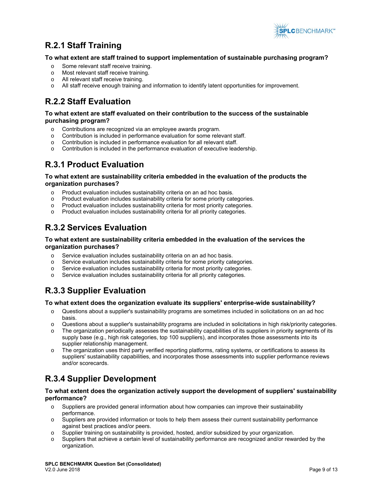

## **R.2.1 Staff Training**

#### **To what extent are staff trained to support implementation of sustainable purchasing program?**

- o Some relevant staff receive training.
- o Most relevant staff receive training.
- o All relevant staff receive training.
- All staff receive enough training and information to identify latent opportunities for improvement.

## **R.2.2 Staff Evaluation**

#### **To what extent are staff evaluated on their contribution to the success of the sustainable purchasing program?**

- o Contributions are recognized via an employee awards program.
- o Contribution is included in performance evaluation for some relevant staff.
- o Contribution is included in performance evaluation for all relevant staff.
- o Contribution is included in the performance evaluation of executive leadership.

## **R.3.1 Product Evaluation**

#### **To what extent are sustainability criteria embedded in the evaluation of the products the organization purchases?**

- o Product evaluation includes sustainability criteria on an ad hoc basis.
- o Product evaluation includes sustainability criteria for some priority categories.
- o Product evaluation includes sustainability criteria for most priority categories.
- o Product evaluation includes sustainability criteria for all priority categories.

## **R.3.2 Services Evaluation**

#### **To what extent are sustainability criteria embedded in the evaluation of the services the organization purchases?**

- o Service evaluation includes sustainability criteria on an ad hoc basis.
- o Service evaluation includes sustainability criteria for some priority categories.
- Service evaluation includes sustainability criteria for most priority categories.
- o Service evaluation includes sustainability criteria for all priority categories.

## **R.3.3 Supplier Evaluation**

#### **To what extent does the organization evaluate its suppliers' enterprise-wide sustainability?**

- o Questions about a supplier's sustainability programs are sometimes included in solicitations on an ad hoc basis.
- o Questions about a supplier's sustainability programs are included in solicitations in high risk/priority categories.
- o The organization periodically assesses the sustainability capabilities of its suppliers in priority segments of its supply base (e.g., high risk categories, top 100 suppliers), and incorporates those assessments into its supplier relationship management.
- o The organization uses third party verified reporting platforms, rating systems, or certifications to assess its suppliers' sustainability capabilities, and incorporates those assessments into supplier performance reviews and/or scorecards.

## **R.3.4 Supplier Development**

#### **To what extent does the organization actively support the development of suppliers' sustainability performance?**

- o Suppliers are provided general information about how companies can improve their sustainability performance.
- o Suppliers are provided information or tools to help them assess their current sustainability performance against best practices and/or peers.
- o Supplier training on sustainability is provided, hosted, and/or subsidized by your organization.
- o Suppliers that achieve a certain level of sustainability performance are recognized and/or rewarded by the organization.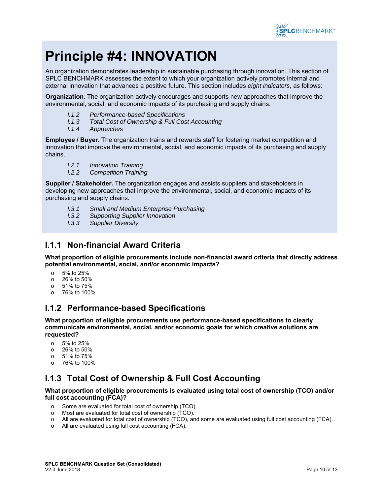

## **Principle #4: INNOVATION**

An organization demonstrates leadership in sustainable purchasing through innovation. This section of SPLC BENCHMARK assesses the extent to which your organization actively promotes internal and external innovation that advances a positive future. This section includes *eight indicators*, as follows:

**Organization.** The organization actively encourages and supports new approaches that improve the environmental, social, and economic impacts of its purchasing and supply chains.

- *I.1.2 Performance-based Specifications*
- *I.1.3 Total Cost of Ownership & Full Cost Accounting*
- *I.1.4 Approaches*

**Employee / Buyer.** The organization trains and rewards staff for fostering market competition and innovation that improve the environmental, social, and economic impacts of its purchasing and supply chains.

- *I.2.1 Innovation Training*
- *I.2.2 Competition Training*

**Supplier / Stakeholder.** The organization engages and assists suppliers and stakeholders in developing new approaches that improve the environmental, social, and economic impacts of its purchasing and supply chains.

- *I.3.1 Small and Medium Enterprise Purchasing*
- *I.3.2 Supporting Supplier Innovation*
- *I.3.3 Supplier Diversity*

### **I.1.1 Non-financial Award Criteria**

**What proportion of eligible procurements include non-financial award criteria that directly address potential environmental, social, and/or economic impacts?** 

- o 5% to 25%
- o 26% to 50%
- o 51% to 75%
- o 76% to 100%

### **I.1.2 Performance-based Specifications**

**What proportion of eligible procurements use performance-based specifications to clearly communicate environmental, social, and/or economic goals for which creative solutions are requested?** 

- o 5% to 25%
- o 26% to 50%
- o 51% to 75%
- o 76% to 100%

## **I.1.3 Total Cost of Ownership & Full Cost Accounting**

#### **What proportion of eligible procurements is evaluated using total cost of ownership (TCO) and/or full cost accounting (FCA)?**

- o Some are evaluated for total cost of ownership (TCO).
- o Most are evaluated for total cost of ownership (TCO).
- o All are evaluated for total cost of ownership (TCO), and some are evaluated using full cost accounting (FCA).
- o All are evaluated using full cost accounting (FCA).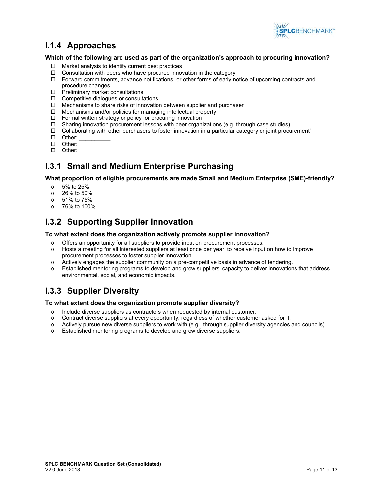

## **I.1.4 Approaches**

#### **Which of the following are used as part of the organization's approach to procuring innovation?**

- $\Box$  Market analysis to identify current best practices
- $\Box$  Consultation with peers who have procured innovation in the category
- $\Box$  Forward commitments, advance notifications, or other forms of early notice of upcoming contracts and procedure changes.
- $\Box$  Preliminary market consultations
- $\Box$  Competitive dialogues or consultations
- $\Box$  Mechanisms to share risks of innovation between supplier and purchaser
- $\Box$  Mechanisms and/or policies for managing intellectual property
- $\Box$  Formal written strategy or policy for procuring innovation
- $\Box$  Sharing innovation procurement lessons with peer organizations (e.g. through case studies)
- $\Box$  Collaborating with other purchasers to foster innovation in a particular category or joint procurement"
- $\Box$  Other:
- $\Box$  Other:
- $\Box$  Other:

## **I.3.1 Small and Medium Enterprise Purchasing**

**What proportion of eligible procurements are made Small and Medium Enterprise (SME)-friendly?** 

- o 5% to 25%
- o 26% to 50%
- o 51% to 75%
- o 76% to 100%

### **I.3.2 Supporting Supplier Innovation**

#### **To what extent does the organization actively promote supplier innovation?**

- o Offers an opportunity for all suppliers to provide input on procurement processes.
- o Hosts a meeting for all interested suppliers at least once per year, to receive input on how to improve procurement processes to foster supplier innovation.
- $\circ$  Actively engages the supplier community on a pre-competitive basis in advance of tendering.
- Established mentoring programs to develop and grow suppliers' capacity to deliver innovations that address environmental, social, and economic impacts.

## **I.3.3 Supplier Diversity**

#### **To what extent does the organization promote supplier diversity?**

- o Include diverse suppliers as contractors when requested by internal customer.
- o Contract diverse suppliers at every opportunity, regardless of whether customer asked for it.
- o Actively pursue new diverse suppliers to work with (e.g., through supplier diversity agencies and councils).
- o Established mentoring programs to develop and grow diverse suppliers.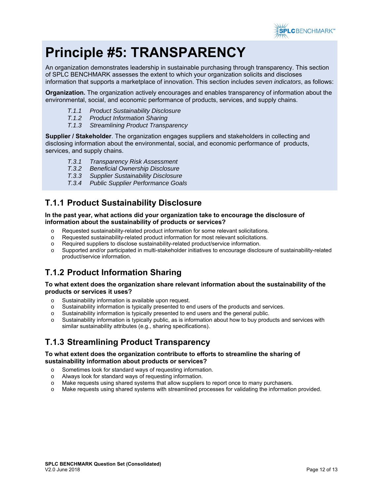

## **Principle #5: TRANSPARENCY**

An organization demonstrates leadership in sustainable purchasing through transparency. This section of SPLC BENCHMARK assesses the extent to which your organization solicits and discloses information that supports a marketplace of innovation. This section includes *seven indicators*, as follows:

**Organization.** The organization actively encourages and enables transparency of information about the environmental, social, and economic performance of products, services, and supply chains.

- *T.1.1 Product Sustainability Disclosure*
- *T.1.2 Product Information Sharing*
- *T.1.3 Streamlining Product Transparency*

**Supplier / Stakeholder**. The organization engages suppliers and stakeholders in collecting and disclosing information about the environmental, social, and economic performance of products, services, and supply chains.

- *T.3.1 Transparency Risk Assessment*
- **Beneficial Ownership Disclosure**
- *T.3.3 Supplier Sustainability Disclosure*
- *T.3.4 Public Supplier Performance Goals*

## **T.1.1 Product Sustainability Disclosure**

#### **In the past year, what actions did your organization take to encourage the disclosure of information about the sustainability of products or services?**

- o Requested sustainability-related product information for some relevant solicitations.
- o Requested sustainability-related product information for most relevant solicitations.
- o Required suppliers to disclose sustainability-related product/service information.
- o Supported and/or participated in multi-stakeholder initiatives to encourage disclosure of sustainability-related product/service information.

## **T.1.2 Product Information Sharing**

#### **To what extent does the organization share relevant information about the sustainability of the products or services it uses?**

- o Sustainability information is available upon request.
- o Sustainability information is typically presented to end users of the products and services.
- o Sustainability information is typically presented to end users and the general public.
- Sustainability information is typically public, as is information about how to buy products and services with similar sustainability attributes (e.g., sharing specifications).

## **T.1.3 Streamlining Product Transparency**

#### **To what extent does the organization contribute to efforts to streamline the sharing of sustainability information about products or services?**

- o Sometimes look for standard ways of requesting information.
- o Always look for standard ways of requesting information.
- o Make requests using shared systems that allow suppliers to report once to many purchasers.
- o Make requests using shared systems with streamlined processes for validating the information provided.